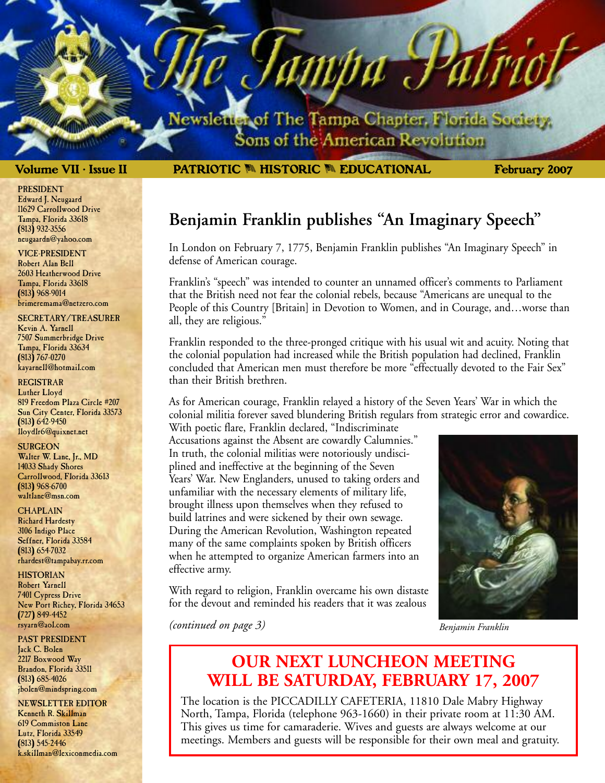lewsletter of The Tampa Chapter, Florida Society. Sons of the American Revolution

amba J

**Volume VII • Issue II PATRIOTIC <b>M HISTORIC M EDUCATIONAL** February 2007

#### PRESIDENT Edward J. Neugaard 11629 Carrollwood Drive Tampa, Florida 33618 (813) 932-3556 neugaardn@yahoo.com

VICE-PRESIDENT Robert Alan Bell 2603 Heatherwood Drive Tampa, Florida 33618 (813) 968-9014 brimeremama@netzero.com

SECRETARY/TREASURER Kevin A. Yarnell 7507 Summerbridge Drive Tampa, Florida 33634 (813) 767-0270 kayarnell@hotmail.com

REGISTRAR Luther Lloyd 819 Freedom Plaza Circle #207 Sun City Center, Florida 33573 (813) 642-9450 lloydlr6@quixnet.net

**SURGEON** Walter W. Lane, Jr., MD 14033 Shady Shores Carrollwood, Florida 33613 (813) 968-6700

waltlane@msn.com

**CHAPLAIN** Richard Hardesty 3106 Indigo Place Seffner, Florida 33584 (813) 654-7032 rhardest@tampabay.rr.com

**HISTORIAN** Robert Yarnell 7401 Cypress Drive New Port Richey, Florida 34653 (727) 849-4452 rsyarn@aol.com

PAST PRESIDENT Jack C. Bolen 2217 Boxwood Way Brandon, Florida 33511 (813) 685-4026 jbolen@mindspring.com

NEWSLETTER EDITOR Kenneth R. Skillman 619 Commiston Lane Lutz, Florida 33549 (813) 545-2446 k.skillman@lexiconmedia.com **Benjamin Franklin publishes "An Imaginary Speech"**

In London on February 7, 1775, Benjamin Franklin publishes "An Imaginary Speech" in defense of American courage.

Franklin's "speech" was intended to counter an unnamed officer's comments to Parliament that the British need not fear the colonial rebels, because "Americans are unequal to the People of this Country [Britain] in Devotion to Women, and in Courage, and…worse than all, they are religious."

Franklin responded to the three-pronged critique with his usual wit and acuity. Noting that the colonial population had increased while the British population had declined, Franklin concluded that American men must therefore be more "effectually devoted to the Fair Sex" than their British brethren.

As for American courage, Franklin relayed a history of the Seven Years' War in which the colonial militia forever saved blundering British regulars from strategic error and cowardice.

With poetic flare, Franklin declared, "Indiscriminate Accusations against the Absent are cowardly Calumnies." In truth, the colonial militias were notoriously undisciplined and ineffective at the beginning of the Seven Years' War. New Englanders, unused to taking orders and unfamiliar with the necessary elements of military life, brought illness upon themselves when they refused to build latrines and were sickened by their own sewage. During the American Revolution, Washington repeated many of the same complaints spoken by British officers when he attempted to organize American farmers into an effective army.

With regard to religion, Franklin overcame his own distaste for the devout and reminded his readers that it was zealous

*(continued on page 3)*



*Benjamin Franklin*

## **OUR NEXT LUNCHEON MEETING WILL BE SATURDAY, FEBRUARY 17, 2007**

The location is the PICCADILLY CAFETERIA, 11810 Dale Mabry Highway North, Tampa, Florida (telephone 963-1660) in their private room at 11:30 AM. This gives us time for camaraderie. Wives and guests are always welcome at our meetings. Members and guests will be responsible for their own meal and gratuity.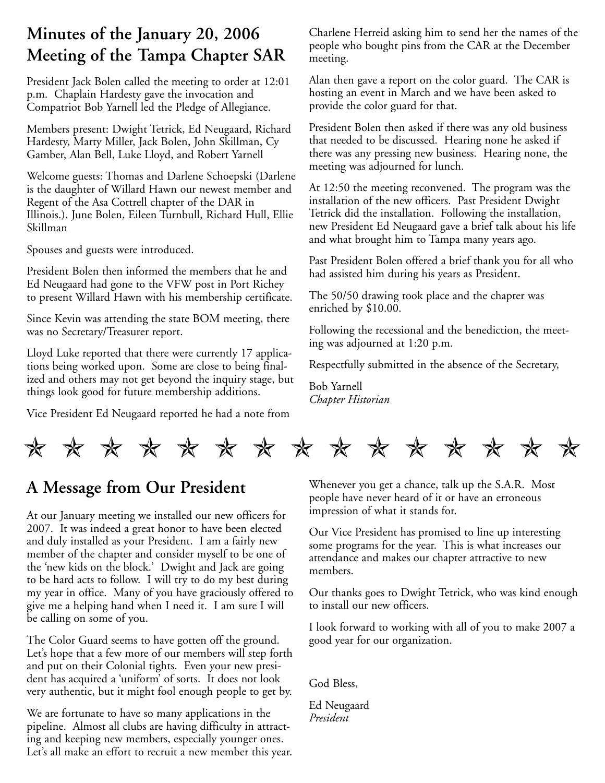## **Minutes of the January 20, 2006 Meeting of the Tampa Chapter SAR**

President Jack Bolen called the meeting to order at 12:01 p.m. Chaplain Hardesty gave the invocation and Compatriot Bob Yarnell led the Pledge of Allegiance.

Members present: Dwight Tetrick, Ed Neugaard, Richard Hardesty, Marty Miller, Jack Bolen, John Skillman, Cy Gamber, Alan Bell, Luke Lloyd, and Robert Yarnell

Welcome guests: Thomas and Darlene Schoepski (Darlene is the daughter of Willard Hawn our newest member and Regent of the Asa Cottrell chapter of the DAR in Illinois.), June Bolen, Eileen Turnbull, Richard Hull, Ellie Skillman

Spouses and guests were introduced.

President Bolen then informed the members that he and Ed Neugaard had gone to the VFW post in Port Richey to present Willard Hawn with his membership certificate.

Since Kevin was attending the state BOM meeting, there was no Secretary/Treasurer report.

Lloyd Luke reported that there were currently 17 applications being worked upon. Some are close to being finalized and others may not get beyond the inquiry stage, but things look good for future membership additions.

Vice President Ed Neugaard reported he had a note from

Charlene Herreid asking him to send her the names of the people who bought pins from the CAR at the December meeting.

Alan then gave a report on the color guard. The CAR is hosting an event in March and we have been asked to provide the color guard for that.

President Bolen then asked if there was any old business that needed to be discussed. Hearing none he asked if there was any pressing new business. Hearing none, the meeting was adjourned for lunch.

At 12:50 the meeting reconvened. The program was the installation of the new officers. Past President Dwight Tetrick did the installation. Following the installation, new President Ed Neugaard gave a brief talk about his life and what brought him to Tampa many years ago.

Past President Bolen offered a brief thank you for all who had assisted him during his years as President.

The 50/50 drawing took place and the chapter was enriched by \$10.00.

Following the recessional and the benediction, the meeting was adjourned at 1:20 p.m.

Respectfully submitted in the absence of the Secretary,

Bob Yarnell *Chapter Historian*



## **A Message from Our President**

At our January meeting we installed our new officers for 2007. It was indeed a great honor to have been elected and duly installed as your President. I am a fairly new member of the chapter and consider myself to be one of the 'new kids on the block.' Dwight and Jack are going to be hard acts to follow. I will try to do my best during my year in office. Many of you have graciously offered to give me a helping hand when I need it. I am sure I will be calling on some of you.

The Color Guard seems to have gotten off the ground. Let's hope that a few more of our members will step forth and put on their Colonial tights. Even your new president has acquired a 'uniform' of sorts. It does not look very authentic, but it might fool enough people to get by.

We are fortunate to have so many applications in the pipeline. Almost all clubs are having difficulty in attracting and keeping new members, especially younger ones. Let's all make an effort to recruit a new member this year. Whenever you get a chance, talk up the S.A.R. Most people have never heard of it or have an erroneous impression of what it stands for.

Our Vice President has promised to line up interesting some programs for the year. This is what increases our attendance and makes our chapter attractive to new members.

Our thanks goes to Dwight Tetrick, who was kind enough to install our new officers.

I look forward to working with all of you to make 2007 a good year for our organization.

God Bless,

Ed Neugaard *President*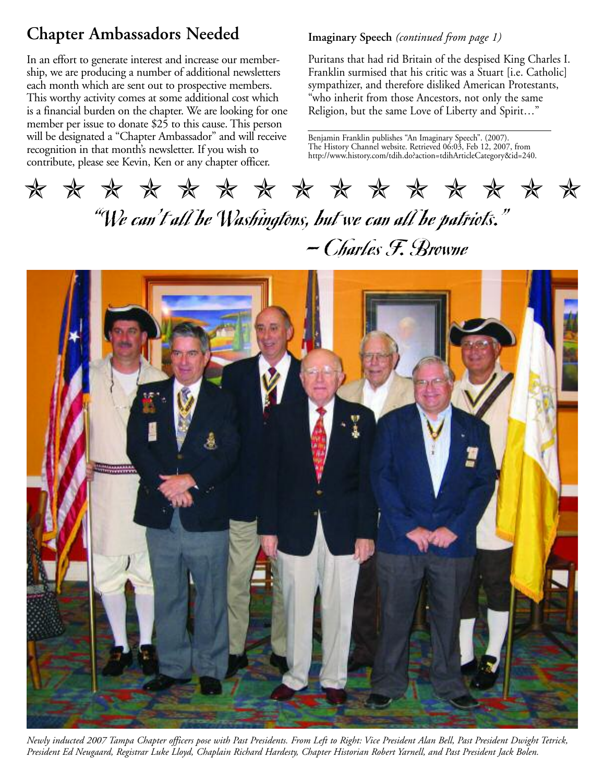## **Chapter Ambassadors Needed**

In an effort to generate interest and increase our membership, we are producing a number of additional newsletters each month which are sent out to prospective members. This worthy activity comes at some additional cost which is a financial burden on the chapter. We are looking for one member per issue to donate \$25 to this cause. This person will be designated a "Chapter Ambassador" and will receive recognition in that month's newsletter. If you wish to contribute, please see Kevin, Ken or any chapter officer.

#### **Imaginary Speech** *(continued from page 1)*

Puritans that had rid Britain of the despised King Charles I. Franklin surmised that his critic was a Stuart [i.e. Catholic] sympathizer, and therefore disliked American Protestants, "who inherit from those Ancestors, not only the same Religion, but the same Love of Liberty and Spirit…"

Benjamin Franklin publishes "An Imaginary Speech". (2007). The History Channel website. Retrieved 06:03, Feb 12, 2007, from http://www.history.com/tdih.do?action=tdihArticleCategory&id=240.

# "We can't all be Washingtons, but we can all be patriots." — Charles F. Browne ✯✯✯✯✯✯✯✯✯✯✯✯✯✯✯



*Newly inducted 2007 Tampa Chapter officers pose with Past Presidents. From Left to Right: Vice President Alan Bell, Past President Dwight Tetrick, President Ed Neugaard, Registrar Luke Lloyd, Chaplain Richard Hardesty, Chapter Historian Robert Yarnell, and Past President Jack Bolen.*